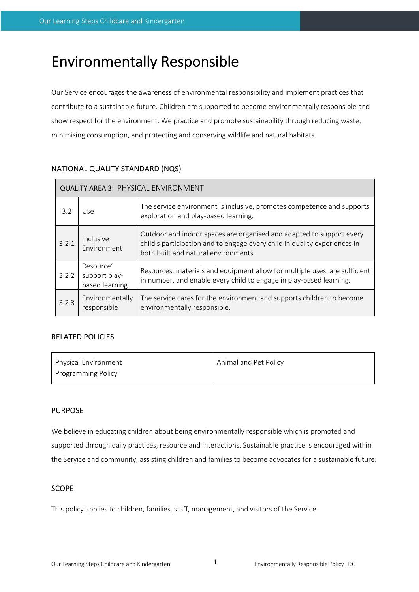# Environmentally Responsible

Our Service encourages the awareness of environmental responsibility and implement practices that contribute to a sustainable future. Children are supported to become environmentally responsible and show respect for the environment. We practice and promote sustainability through reducing waste, minimising consumption, and protecting and conserving wildlife and natural habitats.

| <b>QUALITY AREA 3: PHYSICAL ENVIRONMENT</b> |                                              |                                                                                                                                                                                           |  |  |  |
|---------------------------------------------|----------------------------------------------|-------------------------------------------------------------------------------------------------------------------------------------------------------------------------------------------|--|--|--|
| 3.2                                         | Use                                          | The service environment is inclusive, promotes competence and supports<br>exploration and play-based learning.                                                                            |  |  |  |
| 3.2.1                                       | Inclusive<br>Fnvironment                     | Outdoor and indoor spaces are organised and adapted to support every<br>child's participation and to engage every child in quality experiences in<br>both built and natural environments. |  |  |  |
| 3.2.2                                       | Resource'<br>support play-<br>based learning | Resources, materials and equipment allow for multiple uses, are sufficient<br>in number, and enable every child to engage in play-based learning.                                         |  |  |  |
| 3.2.3                                       | Environmentally<br>responsible               | The service cares for the environment and supports children to become<br>environmentally responsible.                                                                                     |  |  |  |

## NATIONAL QUALITY STANDARD (NQS)

## RELATED POLICIES

| Physical Environment      | Animal and Pet Policy |
|---------------------------|-----------------------|
| <b>Programming Policy</b> |                       |

## PURPOSE

We believe in educating children about being environmentally responsible which is promoted and supported through daily practices, resource and interactions. Sustainable practice is encouraged within the Service and community, assisting children and families to become advocates for a sustainable future.

## SCOPE

This policy applies to children, families, staff, management, and visitors of the Service.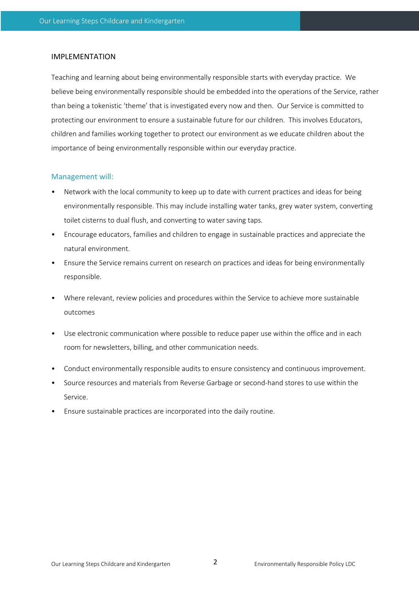#### IMPLEMENTATION

Teaching and learning about being environmentally responsible starts with everyday practice. We believe being environmentally responsible should be embedded into the operations of the Service, rather than being a tokenistic 'theme' that is investigated every now and then. Our Service is committed to protecting our environment to ensure a sustainable future for our children. This involves Educators, children and families working together to protect our environment as we educate children about the importance of being environmentally responsible within our everyday practice.

#### Management will:

- Network with the local community to keep up to date with current practices and ideas for being environmentally responsible. This may include installing water tanks, grey water system, converting toilet cisterns to dual flush, and converting to water saving taps.
- Encourage educators, families and children to engage in sustainable practices and appreciate the natural environment.
- Ensure the Service remains current on research on practices and ideas for being environmentally responsible.
- Where relevant, review policies and procedures within the Service to achieve more sustainable outcomes
- Use electronic communication where possible to reduce paper use within the office and in each room for newsletters, billing, and other communication needs.
- Conduct environmentally responsible audits to ensure consistency and continuous improvement.
- Source resources and materials from Reverse Garbage or second-hand stores to use within the Service.
- Ensure sustainable practices are incorporated into the daily routine.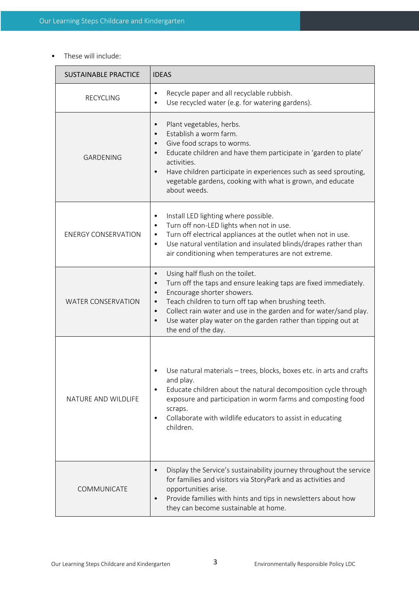• These will include:

| <b>SUSTAINABLE PRACTICE</b> | <b>IDEAS</b>                                                                                                                                                                                                                                                                                                                                                                                                                        |  |  |  |
|-----------------------------|-------------------------------------------------------------------------------------------------------------------------------------------------------------------------------------------------------------------------------------------------------------------------------------------------------------------------------------------------------------------------------------------------------------------------------------|--|--|--|
| <b>RECYCLING</b>            | Recycle paper and all recyclable rubbish.<br>$\bullet$<br>Use recycled water (e.g. for watering gardens).                                                                                                                                                                                                                                                                                                                           |  |  |  |
| <b>GARDENING</b>            | Plant vegetables, herbs.<br>$\bullet$<br>Establish a worm farm.<br>$\bullet$<br>Give food scraps to worms.<br>$\bullet$<br>Educate children and have them participate in 'garden to plate'<br>$\bullet$<br>activities.<br>Have children participate in experiences such as seed sprouting,<br>$\bullet$<br>vegetable gardens, cooking with what is grown, and educate<br>about weeds.                                               |  |  |  |
| <b>ENERGY CONSERVATION</b>  | Install LED lighting where possible.<br>$\bullet$<br>Turn off non-LED lights when not in use.<br>$\bullet$<br>Turn off electrical appliances at the outlet when not in use.<br>$\bullet$<br>Use natural ventilation and insulated blinds/drapes rather than<br>$\bullet$<br>air conditioning when temperatures are not extreme.                                                                                                     |  |  |  |
| <b>WATER CONSERVATION</b>   | Using half flush on the toilet.<br>$\bullet$<br>Turn off the taps and ensure leaking taps are fixed immediately.<br>$\bullet$<br>Encourage shorter showers.<br>$\bullet$<br>Teach children to turn off tap when brushing teeth.<br>$\bullet$<br>Collect rain water and use in the garden and for water/sand play.<br>$\bullet$<br>Use water play water on the garden rather than tipping out at<br>$\bullet$<br>the end of the day. |  |  |  |
| NATURE AND WILDLIFE         | Use natural materials - trees, blocks, boxes etc. in arts and crafts<br>and play.<br>Educate children about the natural decomposition cycle through<br>$\bullet$<br>exposure and participation in worm farms and composting food<br>scraps.<br>Collaborate with wildlife educators to assist in educating<br>$\bullet$<br>children.                                                                                                 |  |  |  |
| COMMUNICATE                 | Display the Service's sustainability journey throughout the service<br>$\bullet$<br>for families and visitors via StoryPark and as activities and<br>opportunities arise.<br>Provide families with hints and tips in newsletters about how<br>$\bullet$<br>they can become sustainable at home.                                                                                                                                     |  |  |  |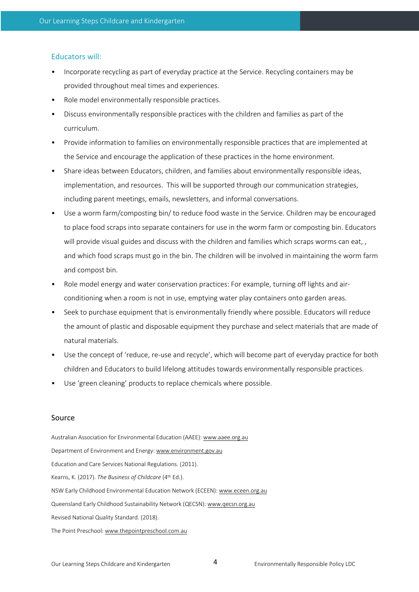### Educators will:

- Incorporate recycling as part of everyday practice at the Service. Recycling containers may be provided throughout meal times and experiences.
- Role model environmentally responsible practices.
- Discuss environmentally responsible practices with the children and families as part of the curriculum.
- Provide information to families on environmentally responsible practices that are implemented at the Service and encourage the application of these practices in the home environment.
- Share ideas between Educators, children, and families about environmentally responsible ideas, implementation, and resources. This will be supported through our communication strategies, including parent meetings, emails, newsletters, and informal conversations.
- Use a worm farm/composting bin/ to reduce food waste in the Service. Children may be encouraged to place food scraps into separate containers for use in the worm farm or composting bin. Educators will provide visual guides and discuss with the children and families which scraps worms can eat, , and which food scraps must go in the bin. The children will be involved in maintaining the worm farm and compost bin.
- Role model energy and water conservation practices: For example, turning off lights and airconditioning when a room is not in use, emptying water play containers onto garden areas.
- Seek to purchase equipment that is environmentally friendly where possible. Educators will reduce the amount of plastic and disposable equipment they purchase and select materials that are made of natural materials.
- Use the concept of 'reduce, re-use and recycle', which will become part of everyday practice for both children and Educators to build lifelong attitudes towards environmentally responsible practices.
- Use 'green cleaning' products to replace chemicals where possible.

#### Source

Australian Association for Environmental Education (AAEE): www.aaee.org.au Department of Environment and Energy: www.environment.gov.au Education and Care Services National Regulations. (2011). Kearns, K. (2017). *The Business of Childcare* (4th Ed.). NSW Early Childhood Environmental Education Network (ECEEN): www.eceen.org.au Queensland Early Childhood Sustainability Network (QECSN): www.qecsn.org.au Revised National Quality Standard. (2018). The Point Preschool: www.thepointpreschool.com.au